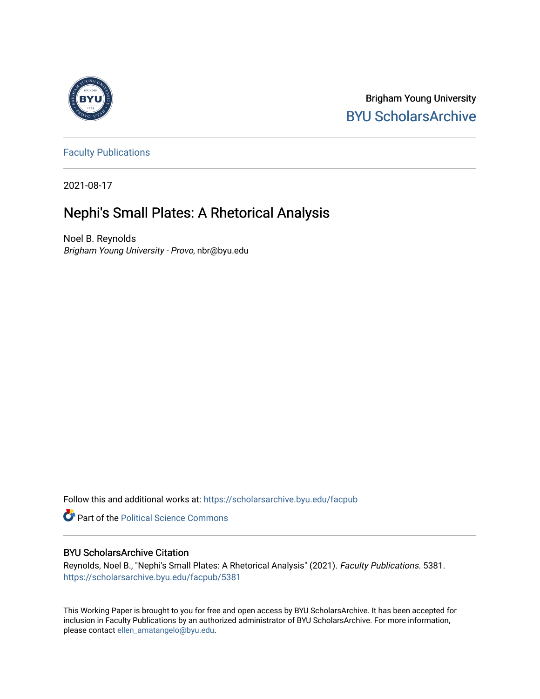

Brigham Young University [BYU ScholarsArchive](https://scholarsarchive.byu.edu/) 

[Faculty Publications](https://scholarsarchive.byu.edu/facpub)

2021-08-17

# Nephi's Small Plates: A Rhetorical Analysis

Noel B. Reynolds Brigham Young University - Provo, nbr@byu.edu

Follow this and additional works at: [https://scholarsarchive.byu.edu/facpub](https://scholarsarchive.byu.edu/facpub?utm_source=scholarsarchive.byu.edu%2Ffacpub%2F5381&utm_medium=PDF&utm_campaign=PDFCoverPages) 

**Part of the Political Science Commons** 

#### BYU ScholarsArchive Citation

Reynolds, Noel B., "Nephi's Small Plates: A Rhetorical Analysis" (2021). Faculty Publications. 5381. [https://scholarsarchive.byu.edu/facpub/5381](https://scholarsarchive.byu.edu/facpub/5381?utm_source=scholarsarchive.byu.edu%2Ffacpub%2F5381&utm_medium=PDF&utm_campaign=PDFCoverPages)

This Working Paper is brought to you for free and open access by BYU ScholarsArchive. It has been accepted for inclusion in Faculty Publications by an authorized administrator of BYU ScholarsArchive. For more information, please contact [ellen\\_amatangelo@byu.edu](mailto:ellen_amatangelo@byu.edu).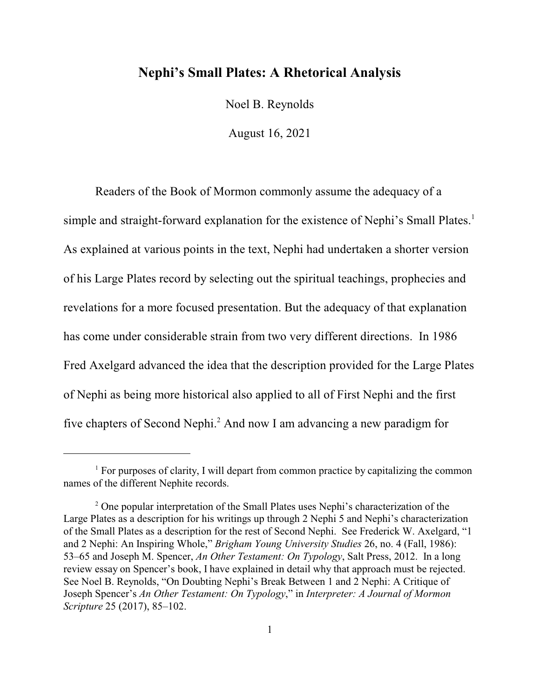# **Nephi's Small Plates: A Rhetorical Analysis**

Noel B. Reynolds

August 16, 2021

Readers of the Book of Mormon commonly assume the adequacy of a simple and straight-forward explanation for the existence of Nephi's Small Plates. 1 As explained at various points in the text, Nephi had undertaken a shorter version of his Large Plates record by selecting out the spiritual teachings, prophecies and revelations for a more focused presentation. But the adequacy of that explanation has come under considerable strain from two very different directions. In 1986 Fred Axelgard advanced the idea that the description provided for the Large Plates of Nephi as being more historical also applied to all of First Nephi and the first five chapters of Second Nephi.<sup>2</sup> And now I am advancing a new paradigm for

<sup>&</sup>lt;sup>1</sup> For purposes of clarity, I will depart from common practice by capitalizing the common names of the different Nephite records.

<sup>&</sup>lt;sup>2</sup> One popular interpretation of the Small Plates uses Nephi's characterization of the Large Plates as a description for his writings up through 2 Nephi 5 and Nephi's characterization of the Small Plates as a description for the rest of Second Nephi. See Frederick W. Axelgard, "1 and 2 Nephi: An Inspiring Whole," *Brigham Young University Studies* 26, no. 4 (Fall, 1986): 53–65 and Joseph M. Spencer, *An Other Testament: On Typology*, Salt Press, 2012. In a long review essay on Spencer's book, I have explained in detail why that approach must be rejected. See Noel B. Reynolds, "On Doubting Nephi's Break Between 1 and 2 Nephi: A Critique of Joseph Spencer's *An Other Testament: On Typology*," in *Interpreter: A Journal of Mormon Scripture* 25 (2017), 85–102.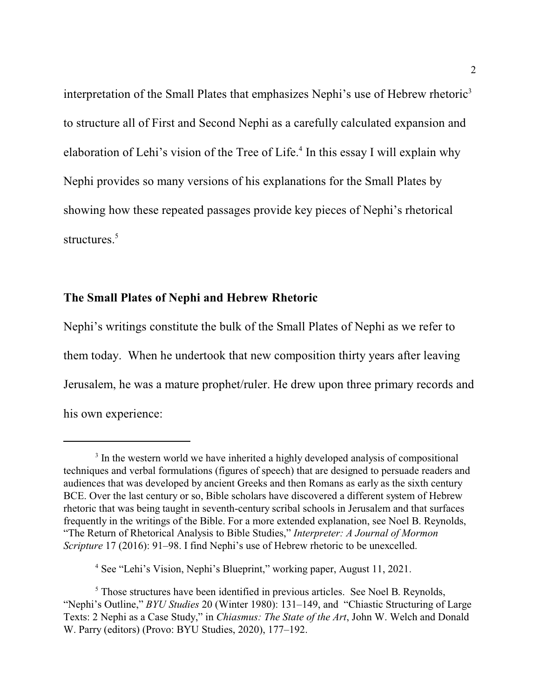interpretation of the Small Plates that emphasizes Nephi's use of Hebrew rhetoric<sup>3</sup> to structure all of First and Second Nephi as a carefully calculated expansion and elaboration of Lehi's vision of the Tree of Life.<sup>4</sup> In this essay I will explain why Nephi provides so many versions of his explanations for the Small Plates by showing how these repeated passages provide key pieces of Nephi's rhetorical structures. 5

# **The Small Plates of Nephi and Hebrew Rhetoric**

Nephi's writings constitute the bulk of the Small Plates of Nephi as we refer to them today. When he undertook that new composition thirty years after leaving Jerusalem, he was a mature prophet/ruler. He drew upon three primary records and his own experience:

4 See "Lehi's Vision, Nephi's Blueprint," working paper, August 11, 2021.

<sup>&</sup>lt;sup>3</sup> In the western world we have inherited a highly developed analysis of compositional techniques and verbal formulations (figures of speech) that are designed to persuade readers and audiences that was developed by ancient Greeks and then Romans as early as the sixth century BCE. Over the last century or so, Bible scholars have discovered a different system of Hebrew rhetoric that was being taught in seventh-century scribal schools in Jerusalem and that surfaces frequently in the writings of the Bible. For a more extended explanation, see Noel B. Reynolds, "The Return of Rhetorical Analysis to Bible Studies," *Interpreter: A Journal of Mormon Scripture* 17 (2016): 91–98. I find Nephi's use of Hebrew rhetoric to be unexcelled.

<sup>&</sup>lt;sup>5</sup> Those structures have been identified in previous articles. See Noel B. Reynolds, "Nephi's Outline," *BYU Studies* 20 (Winter 1980): 131–149, and "Chiastic Structuring of Large Texts: 2 Nephi as a Case Study," in *Chiasmus: The State of the Art*, John W. Welch and Donald W. Parry (editors) (Provo: BYU Studies, 2020), 177–192.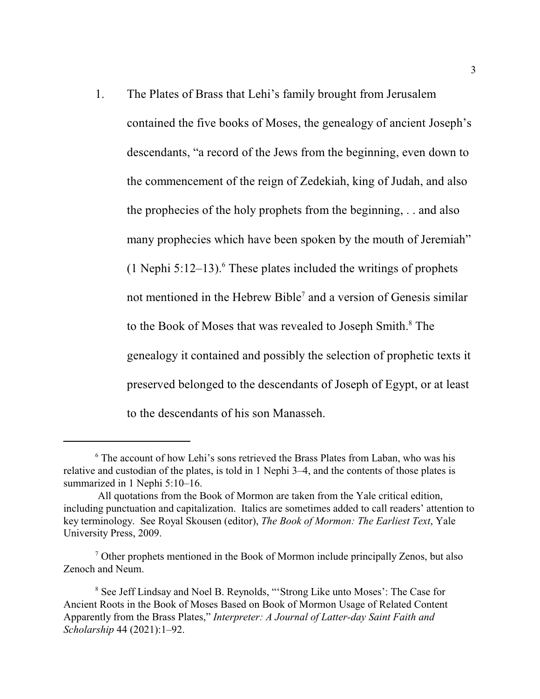1. The Plates of Brass that Lehi's family brought from Jerusalem contained the five books of Moses, the genealogy of ancient Joseph's descendants, "a record of the Jews from the beginning, even down to the commencement of the reign of Zedekiah, king of Judah, and also the prophecies of the holy prophets from the beginning, . . and also many prophecies which have been spoken by the mouth of Jeremiah"  $(1$  Nephi 5:12–13).<sup>6</sup> These plates included the writings of prophets not mentioned in the Hebrew Bible<sup>7</sup> and a version of Genesis similar to the Book of Moses that was revealed to Joseph Smith.<sup>8</sup> The genealogy it contained and possibly the selection of prophetic texts it preserved belonged to the descendants of Joseph of Egypt, or at least to the descendants of his son Manasseh.

<sup>&</sup>lt;sup>6</sup> The account of how Lehi's sons retrieved the Brass Plates from Laban, who was his relative and custodian of the plates, is told in 1 Nephi 3–4, and the contents of those plates is summarized in 1 Nephi 5:10–16.

All quotations from the Book of Mormon are taken from the Yale critical edition, including punctuation and capitalization. Italics are sometimes added to call readers' attention to key terminology. See Royal Skousen (editor), *The Book of Mormon: The Earliest Text*, Yale University Press, 2009.

<sup>7</sup> Other prophets mentioned in the Book of Mormon include principally Zenos, but also Zenoch and Neum.

<sup>&</sup>lt;sup>8</sup> See Jeff Lindsay and Noel B. Reynolds, "'Strong Like unto Moses': The Case for Ancient Roots in the Book of Moses Based on Book of Mormon Usage of Related Content Apparently from the Brass Plates," *Interpreter: A Journal of Latter-day Saint Faith and Scholarship* 44 (2021):1–92.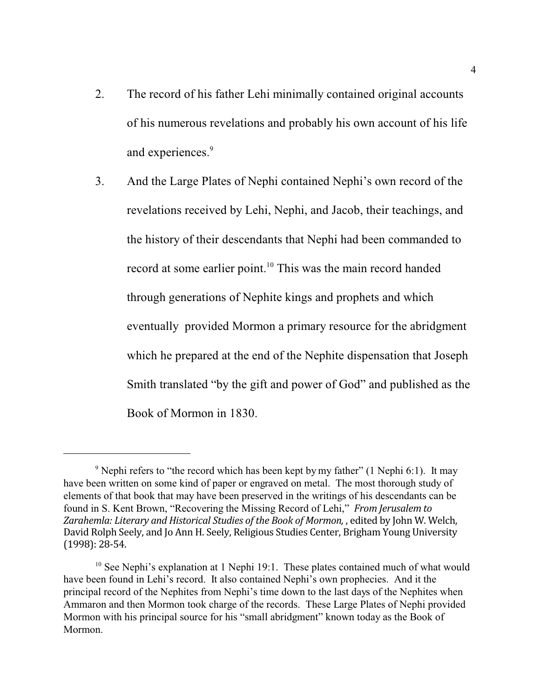- 2. The record of his father Lehi minimally contained original accounts of his numerous revelations and probably his own account of his life and experiences. 9
- 3. And the Large Plates of Nephi contained Nephi's own record of the revelations received by Lehi, Nephi, and Jacob, their teachings, and the history of their descendants that Nephi had been commanded to record at some earlier point.<sup>10</sup> This was the main record handed through generations of Nephite kings and prophets and which eventually provided Mormon a primary resource for the abridgment which he prepared at the end of the Nephite dispensation that Joseph Smith translated "by the gift and power of God" and published as the Book of Mormon in 1830.

 $9$  Nephi refers to "the record which has been kept by my father" (1 Nephi 6:1). It may have been written on some kind of paper or engraved on metal. The most thorough study of elements of that book that may have been preserved in the writings of his descendants can be found in S. Kent Brown, "Recovering the Missing Record of Lehi," *From Jerusalem to Zarahemla: Literary and Historical Studies of the Book of Mormon,* , edited by John W. Welch, David Rolph Seely, and Jo Ann H. Seely, Religious Studies Center, Brigham Young University (1998): 28-54.

<sup>&</sup>lt;sup>10</sup> See Nephi's explanation at 1 Nephi 19:1. These plates contained much of what would have been found in Lehi's record. It also contained Nephi's own prophecies. And it the principal record of the Nephites from Nephi's time down to the last days of the Nephites when Ammaron and then Mormon took charge of the records. These Large Plates of Nephi provided Mormon with his principal source for his "small abridgment" known today as the Book of Mormon.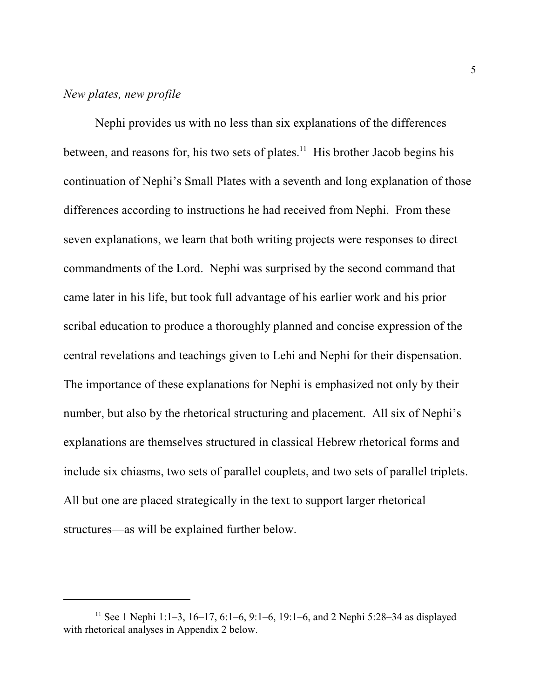### *New plates, new profile*

Nephi provides us with no less than six explanations of the differences between, and reasons for, his two sets of plates.<sup>11</sup> His brother Jacob begins his continuation of Nephi's Small Plates with a seventh and long explanation of those differences according to instructions he had received from Nephi. From these seven explanations, we learn that both writing projects were responses to direct commandments of the Lord. Nephi was surprised by the second command that came later in his life, but took full advantage of his earlier work and his prior scribal education to produce a thoroughly planned and concise expression of the central revelations and teachings given to Lehi and Nephi for their dispensation. The importance of these explanations for Nephi is emphasized not only by their number, but also by the rhetorical structuring and placement. All six of Nephi's explanations are themselves structured in classical Hebrew rhetorical forms and include six chiasms, two sets of parallel couplets, and two sets of parallel triplets. All but one are placed strategically in the text to support larger rhetorical structures—as will be explained further below.

<sup>&</sup>lt;sup>11</sup> See 1 Nephi 1:1-3, 16-17, 6:1-6, 9:1-6, 19:1-6, and 2 Nephi 5:28-34 as displayed with rhetorical analyses in Appendix 2 below.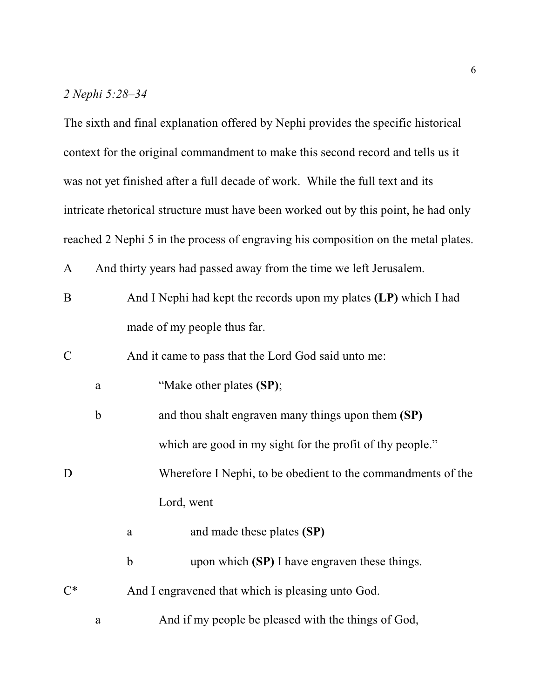### *2 Nephi 5:28–34*

The sixth and final explanation offered by Nephi provides the specific historical context for the original commandment to make this second record and tells us it was not yet finished after a full decade of work. While the full text and its intricate rhetorical structure must have been worked out by this point, he had only reached 2 Nephi 5 in the process of engraving his composition on the metal plates.

A And thirty years had passed away from the time we left Jerusalem.

B And I Nephi had kept the records upon my plates **(LP)** which I had made of my people thus far.

C And it came to pass that the Lord God said unto me:

| а | "Make other plates (SP); |  |  |  |  |
|---|--------------------------|--|--|--|--|
|---|--------------------------|--|--|--|--|

- b and thou shalt engraven many things upon them **(SP)** which are good in my sight for the profit of thy people."
- D Wherefore I Nephi, to be obedient to the commandments of the Lord, went

a and made these plates **(SP)**

b upon which **(SP)** I have engraven these things.

C\* And I engravened that which is pleasing unto God.

a And if my people be pleased with the things of God,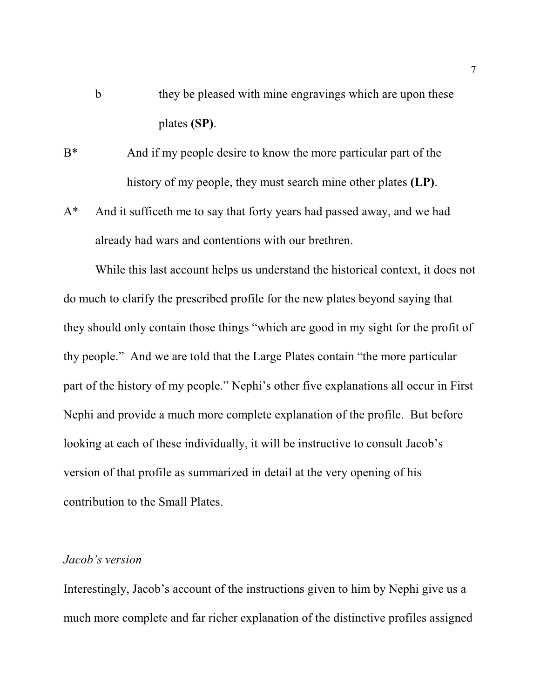- b they be pleased with mine engravings which are upon these plates **(SP)**.
- B\* And if my people desire to know the more particular part of the history of my people, they must search mine other plates **(LP)**.
- A\* And it sufficeth me to say that forty years had passed away, and we had already had wars and contentions with our brethren.

While this last account helps us understand the historical context, it does not do much to clarify the prescribed profile for the new plates beyond saying that they should only contain those things "which are good in my sight for the profit of thy people." And we are told that the Large Plates contain "the more particular part of the history of my people." Nephi's other five explanations all occur in First Nephi and provide a much more complete explanation of the profile. But before looking at each of these individually, it will be instructive to consult Jacob's version of that profile as summarized in detail at the very opening of his contribution to the Small Plates.

### *Jacob's version*

Interestingly, Jacob's account of the instructions given to him by Nephi give us a much more complete and far richer explanation of the distinctive profiles assigned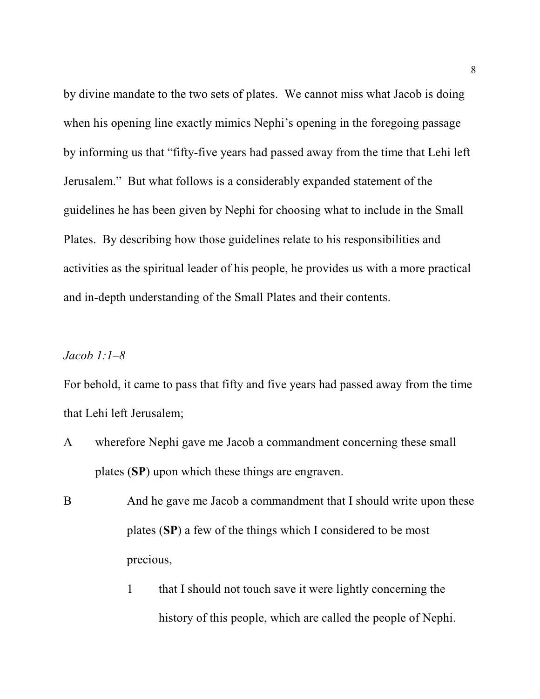by divine mandate to the two sets of plates. We cannot miss what Jacob is doing when his opening line exactly mimics Nephi's opening in the foregoing passage by informing us that "fifty-five years had passed away from the time that Lehi left Jerusalem." But what follows is a considerably expanded statement of the guidelines he has been given by Nephi for choosing what to include in the Small Plates. By describing how those guidelines relate to his responsibilities and activities as the spiritual leader of his people, he provides us with a more practical and in-depth understanding of the Small Plates and their contents.

# *Jacob 1:1–8*

For behold, it came to pass that fifty and five years had passed away from the time that Lehi left Jerusalem;

- A wherefore Nephi gave me Jacob a commandment concerning these small plates (**SP**) upon which these things are engraven.
- B And he gave me Jacob a commandment that I should write upon these plates (**SP**) a few of the things which I considered to be most precious,
	- 1 that I should not touch save it were lightly concerning the history of this people, which are called the people of Nephi.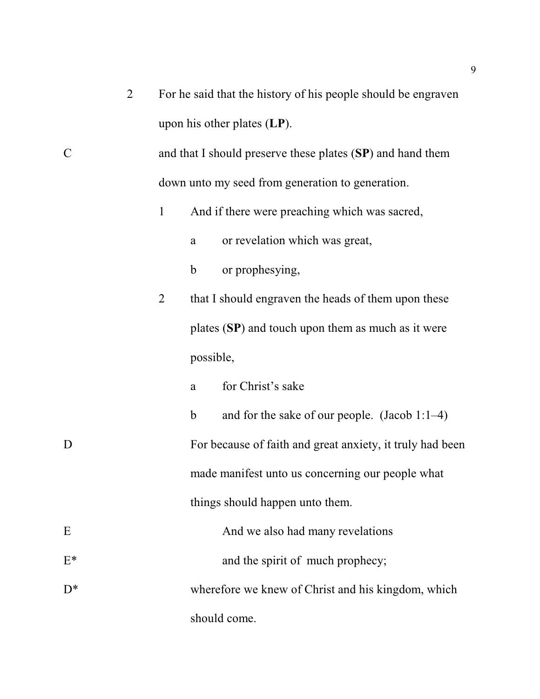|                    | $\overline{2}$ |                |             | For he said that the history of his people should be engraven |
|--------------------|----------------|----------------|-------------|---------------------------------------------------------------|
|                    |                |                |             | upon his other plates $(LP)$ .                                |
| $\overline{\rm C}$ |                |                |             | and that I should preserve these plates (SP) and hand them    |
|                    |                |                |             | down unto my seed from generation to generation.              |
|                    |                | $\mathbf{1}$   |             | And if there were preaching which was sacred,                 |
|                    |                |                | a           | or revelation which was great,                                |
|                    |                |                | $\mathbf b$ | or prophesying,                                               |
|                    |                | $\overline{2}$ |             | that I should engraven the heads of them upon these           |
|                    |                |                |             | plates $(SP)$ and touch upon them as much as it were          |
|                    |                |                | possible,   |                                                               |
|                    |                |                | a           | for Christ's sake                                             |
|                    |                |                | $\mathbf b$ | and for the sake of our people. (Jacob 1:1-4)                 |
| D                  |                |                |             | For because of faith and great anxiety, it truly had been     |
|                    |                |                |             | made manifest unto us concerning our people what              |
|                    |                |                |             | things should happen unto them.                               |
| E                  |                |                |             | And we also had many revelations                              |
| $E^*$              |                |                |             | and the spirit of much prophecy;                              |
| D*                 |                |                |             | wherefore we knew of Christ and his kingdom, which            |
|                    |                |                |             | should come.                                                  |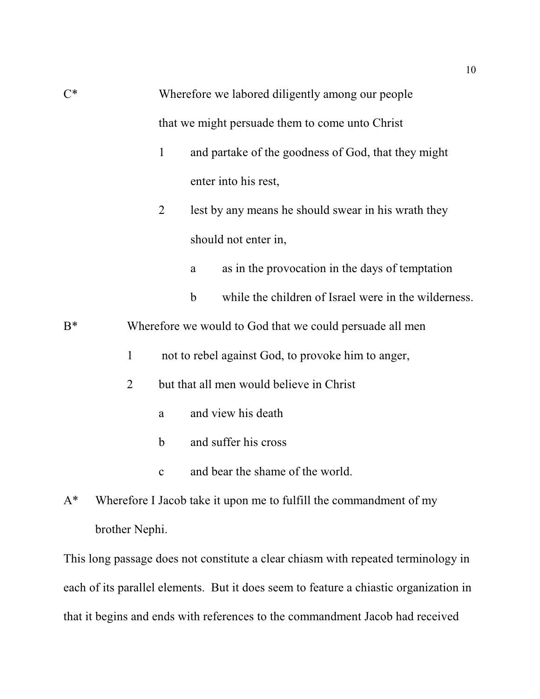| $C^*$ | Wherefore we labored diligently among our people |                |                                                                       |
|-------|--------------------------------------------------|----------------|-----------------------------------------------------------------------|
|       |                                                  |                | that we might persuade them to come unto Christ                       |
|       |                                                  | $\mathbf{1}$   | and partake of the goodness of God, that they might                   |
|       |                                                  |                | enter into his rest,                                                  |
|       |                                                  | $\overline{2}$ | lest by any means he should swear in his wrath they                   |
|       |                                                  |                | should not enter in,                                                  |
|       |                                                  |                | as in the provocation in the days of temptation<br>a                  |
|       |                                                  |                | while the children of Israel were in the wilderness.<br>$\mathfrak b$ |
| $B^*$ |                                                  |                | Wherefore we would to God that we could persuade all men              |
|       | $\mathbf{1}$                                     |                | not to rebel against God, to provoke him to anger,                    |
|       | $\overline{2}$                                   |                | but that all men would believe in Christ                              |
|       |                                                  | a              | and view his death                                                    |
|       |                                                  | b              | and suffer his cross                                                  |
|       |                                                  | $\mathbf c$    | and bear the shame of the world.                                      |
|       |                                                  |                |                                                                       |

A\* Wherefore I Jacob take it upon me to fulfill the commandment of my brother Nephi.

This long passage does not constitute a clear chiasm with repeated terminology in each of its parallel elements. But it does seem to feature a chiastic organization in that it begins and ends with references to the commandment Jacob had received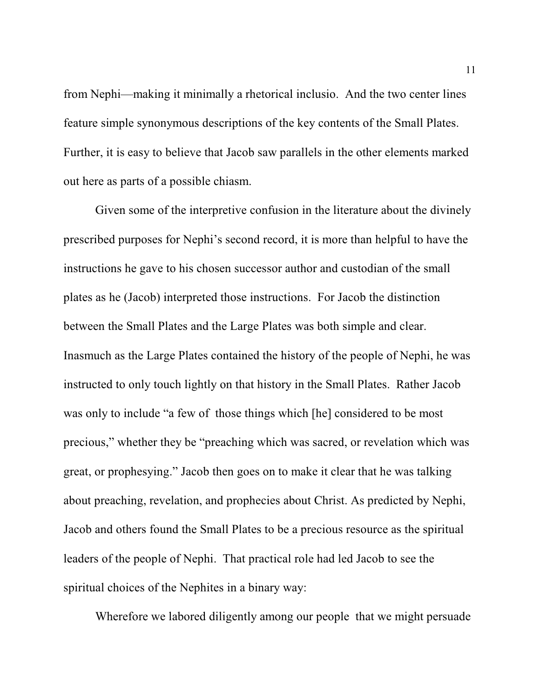from Nephi—making it minimally a rhetorical inclusio. And the two center lines feature simple synonymous descriptions of the key contents of the Small Plates. Further, it is easy to believe that Jacob saw parallels in the other elements marked out here as parts of a possible chiasm.

Given some of the interpretive confusion in the literature about the divinely prescribed purposes for Nephi's second record, it is more than helpful to have the instructions he gave to his chosen successor author and custodian of the small plates as he (Jacob) interpreted those instructions. For Jacob the distinction between the Small Plates and the Large Plates was both simple and clear. Inasmuch as the Large Plates contained the history of the people of Nephi, he was instructed to only touch lightly on that history in the Small Plates. Rather Jacob was only to include "a few of those things which [he] considered to be most precious," whether they be "preaching which was sacred, or revelation which was great, or prophesying." Jacob then goes on to make it clear that he was talking about preaching, revelation, and prophecies about Christ. As predicted by Nephi, Jacob and others found the Small Plates to be a precious resource as the spiritual leaders of the people of Nephi. That practical role had led Jacob to see the spiritual choices of the Nephites in a binary way:

Wherefore we labored diligently among our people that we might persuade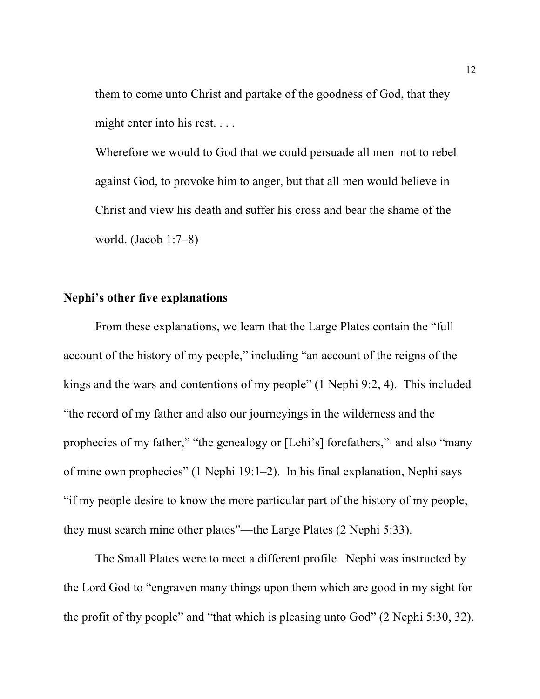them to come unto Christ and partake of the goodness of God, that they might enter into his rest. . . .

Wherefore we would to God that we could persuade all men not to rebel against God, to provoke him to anger, but that all men would believe in Christ and view his death and suffer his cross and bear the shame of the world. (Jacob 1:7–8)

#### **Nephi's other five explanations**

From these explanations, we learn that the Large Plates contain the "full account of the history of my people," including "an account of the reigns of the kings and the wars and contentions of my people" (1 Nephi 9:2, 4). This included "the record of my father and also our journeyings in the wilderness and the prophecies of my father," "the genealogy or [Lehi's] forefathers," and also "many of mine own prophecies" (1 Nephi 19:1–2). In his final explanation, Nephi says "if my people desire to know the more particular part of the history of my people, they must search mine other plates"—the Large Plates (2 Nephi 5:33).

The Small Plates were to meet a different profile. Nephi was instructed by the Lord God to "engraven many things upon them which are good in my sight for the profit of thy people" and "that which is pleasing unto God" (2 Nephi 5:30, 32).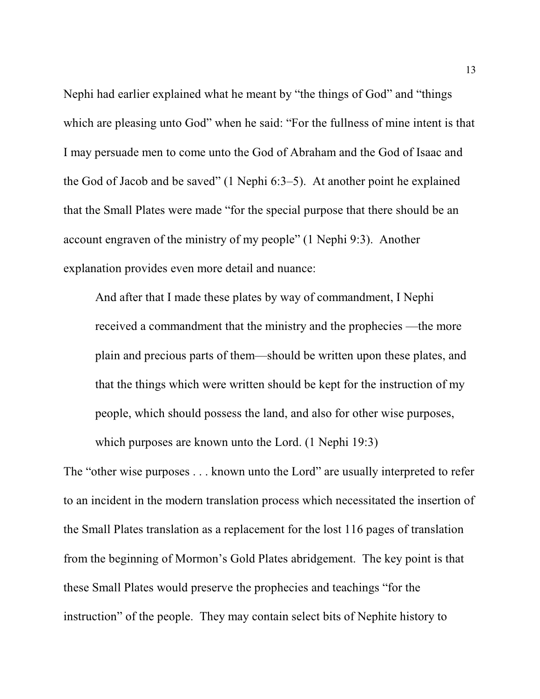Nephi had earlier explained what he meant by "the things of God" and "things which are pleasing unto God" when he said: "For the fullness of mine intent is that I may persuade men to come unto the God of Abraham and the God of Isaac and the God of Jacob and be saved" (1 Nephi 6:3–5). At another point he explained that the Small Plates were made "for the special purpose that there should be an account engraven of the ministry of my people" (1 Nephi 9:3). Another explanation provides even more detail and nuance:

And after that I made these plates by way of commandment, I Nephi received a commandment that the ministry and the prophecies —the more plain and precious parts of them—should be written upon these plates, and that the things which were written should be kept for the instruction of my people, which should possess the land, and also for other wise purposes, which purposes are known unto the Lord. (1 Nephi 19:3)

The "other wise purposes . . . known unto the Lord" are usually interpreted to refer to an incident in the modern translation process which necessitated the insertion of the Small Plates translation as a replacement for the lost 116 pages of translation from the beginning of Mormon's Gold Plates abridgement. The key point is that these Small Plates would preserve the prophecies and teachings "for the instruction" of the people. They may contain select bits of Nephite history to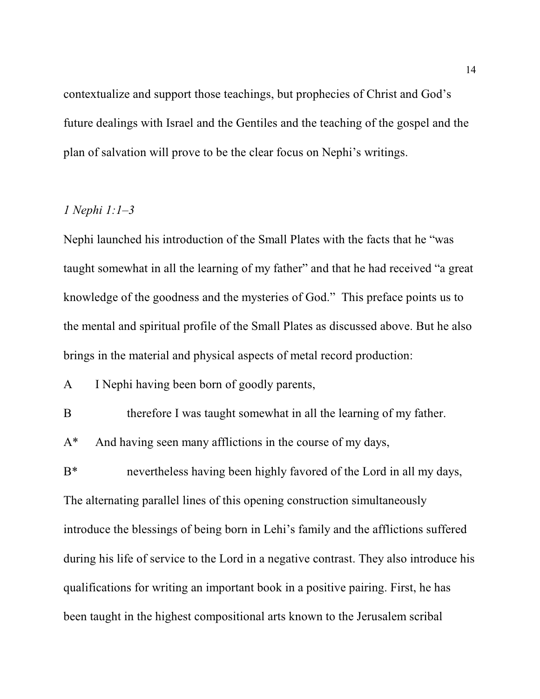contextualize and support those teachings, but prophecies of Christ and God's future dealings with Israel and the Gentiles and the teaching of the gospel and the plan of salvation will prove to be the clear focus on Nephi's writings.

### *1 Nephi 1:1–3*

Nephi launched his introduction of the Small Plates with the facts that he "was taught somewhat in all the learning of my father" and that he had received "a great knowledge of the goodness and the mysteries of God." This preface points us to the mental and spiritual profile of the Small Plates as discussed above. But he also brings in the material and physical aspects of metal record production:

A I Nephi having been born of goodly parents,

B therefore I was taught somewhat in all the learning of my father.

A\* And having seen many afflictions in the course of my days,

B\* nevertheless having been highly favored of the Lord in all my days, The alternating parallel lines of this opening construction simultaneously introduce the blessings of being born in Lehi's family and the afflictions suffered during his life of service to the Lord in a negative contrast. They also introduce his qualifications for writing an important book in a positive pairing. First, he has been taught in the highest compositional arts known to the Jerusalem scribal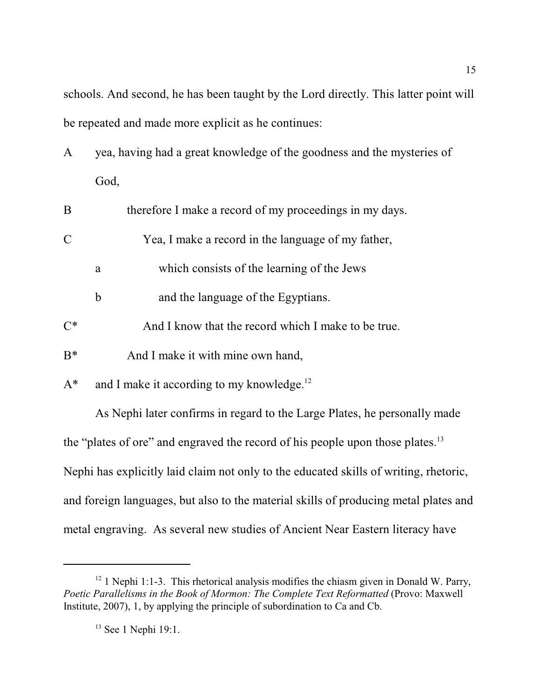schools. And second, he has been taught by the Lord directly. This latter point will be repeated and made more explicit as he continues:

A yea, having had a great knowledge of the goodness and the mysteries of God,

| B     |   | therefore I make a record of my proceedings in my days. |
|-------|---|---------------------------------------------------------|
|       |   | Yea, I make a record in the language of my father,      |
|       | a | which consists of the learning of the Jews              |
|       | b | and the language of the Egyptians.                      |
| $C^*$ |   | And I know that the record which I make to be true.     |
| $R^*$ |   | And I make it with mine own hand,                       |
|       |   |                                                         |

 $A^*$  and I make it according to my knowledge.<sup>12</sup>

As Nephi later confirms in regard to the Large Plates, he personally made the "plates of ore" and engraved the record of his people upon those plates.<sup>13</sup> Nephi has explicitly laid claim not only to the educated skills of writing, rhetoric, and foreign languages, but also to the material skills of producing metal plates and metal engraving. As several new studies of Ancient Near Eastern literacy have

 $12$  1 Nephi 1:1-3. This rhetorical analysis modifies the chiasm given in Donald W. Parry, *Poetic Parallelisms in the Book of Mormon: The Complete Text Reformatted* (Provo: Maxwell Institute, 2007), 1, by applying the principle of subordination to Ca and Cb.

<sup>&</sup>lt;sup>13</sup> See 1 Nephi 19:1.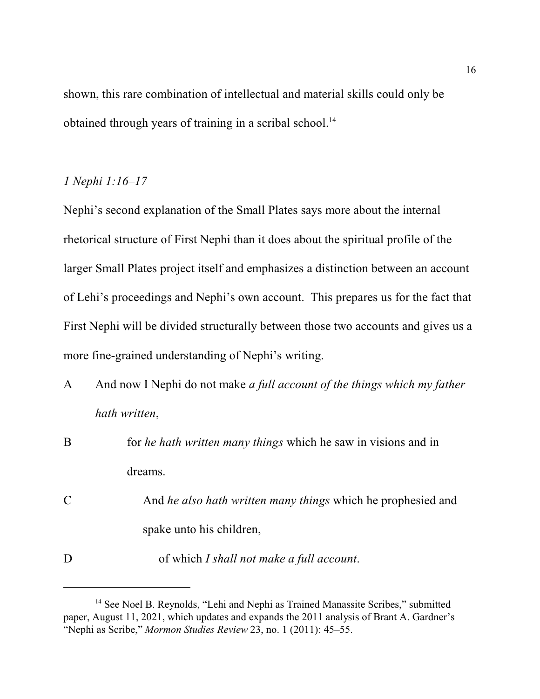shown, this rare combination of intellectual and material skills could only be obtained through years of training in a scribal school.<sup>14</sup>

### *1 Nephi 1:16–17*

Nephi's second explanation of the Small Plates says more about the internal rhetorical structure of First Nephi than it does about the spiritual profile of the larger Small Plates project itself and emphasizes a distinction between an account of Lehi's proceedings and Nephi's own account. This prepares us for the fact that First Nephi will be divided structurally between those two accounts and gives us a more fine-grained understanding of Nephi's writing.

- A And now I Nephi do not make *a full account of the things which my father hath written*,
- B for *he hath written many things* which he saw in visions and in dreams. C And *he also hath written many things* which he prophesied and spake unto his children, D of which *I shall not make a full account*.

<sup>&</sup>lt;sup>14</sup> See Noel B. Reynolds, "Lehi and Nephi as Trained Manassite Scribes," submitted paper, August 11, 2021, which updates and expands the 2011 analysis of Brant A. Gardner's "Nephi as Scribe," *Mormon Studies Review* 23, no. 1 (2011): 45–55.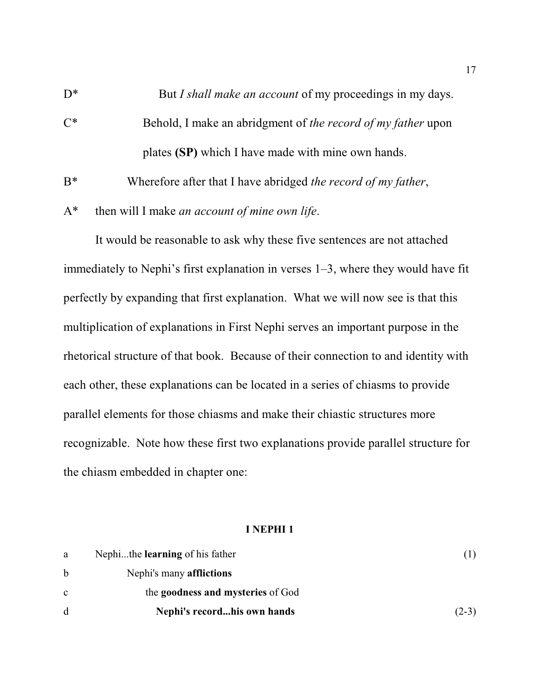D<sup>\*</sup> But *I shall make an account* of my proceedings in my days.

C\* Behold, I make an abridgment of *the record of my father* upon plates **(SP)** which I have made with mine own hands.

B\* Wherefore after that I have abridged *the record of my father*,

A\* then will I make *an account of mine own life*.

It would be reasonable to ask why these five sentences are not attached immediately to Nephi's first explanation in verses 1–3, where they would have fit perfectly by expanding that first explanation. What we will now see is that this multiplication of explanations in First Nephi serves an important purpose in the rhetorical structure of that book. Because of their connection to and identity with each other, these explanations can be located in a series of chiasms to provide parallel elements for those chiasms and make their chiastic structures more recognizable. Note how these first two explanations provide parallel structure for the chiasm embedded in chapter one:

#### **I NEPHI 1**

| a            | Nephithe <b>learning</b> of his father |         |
|--------------|----------------------------------------|---------|
| b            | Nephi's many <b>afflictions</b>        |         |
| $\mathbf{c}$ | the goodness and mysteries of God      |         |
| <sub>d</sub> | Nephi's recordhis own hands            | $(2-3)$ |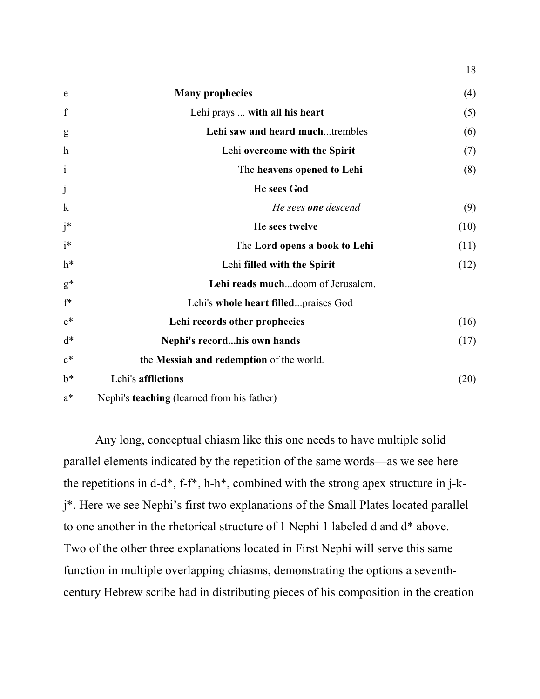| e                         | <b>Many prophecies</b>                   | (4)  |
|---------------------------|------------------------------------------|------|
| f                         | Lehi prays  with all his heart           | (5)  |
| g                         | Lehi saw and heard muchtrembles          | (6)  |
| $\boldsymbol{\mathrm{h}}$ | Lehi overcome with the Spirit            | (7)  |
| $\mathbf{i}$              | The heavens opened to Lehi               | (8)  |
| $\mathbf{j}$              | He sees God                              |      |
| $\mathbf k$               | He sees <b>one</b> descend               | (9)  |
| $j^*$                     | He sees twelve                           | (10) |
| $i^*$                     | The Lord opens a book to Lehi            | (11) |
| $h^*$                     | Lehi filled with the Spirit              | (12) |
| $g^*$                     | Lehi reads muchdoom of Jerusalem.        |      |
| $f^*$                     | Lehi's whole heart filledpraises God     |      |
| $e^*$                     | Lehi records other prophecies            | (16) |
| $d^*$                     | Nephi's recordhis own hands              | (17) |
| $\mathbf{c}^*$            | the Messiah and redemption of the world. |      |
| $b^*$                     | Lehi's afflictions                       | (20) |
|                           |                                          |      |

18

a\* Nephi's **teaching** (learned from his father)

Any long, conceptual chiasm like this one needs to have multiple solid parallel elements indicated by the repetition of the same words—as we see here the repetitions in d-d\*, f-f\*, h-h\*, combined with the strong apex structure in j-kj\*. Here we see Nephi's first two explanations of the Small Plates located parallel to one another in the rhetorical structure of 1 Nephi 1 labeled d and d\* above. Two of the other three explanations located in First Nephi will serve this same function in multiple overlapping chiasms, demonstrating the options a seventhcentury Hebrew scribe had in distributing pieces of his composition in the creation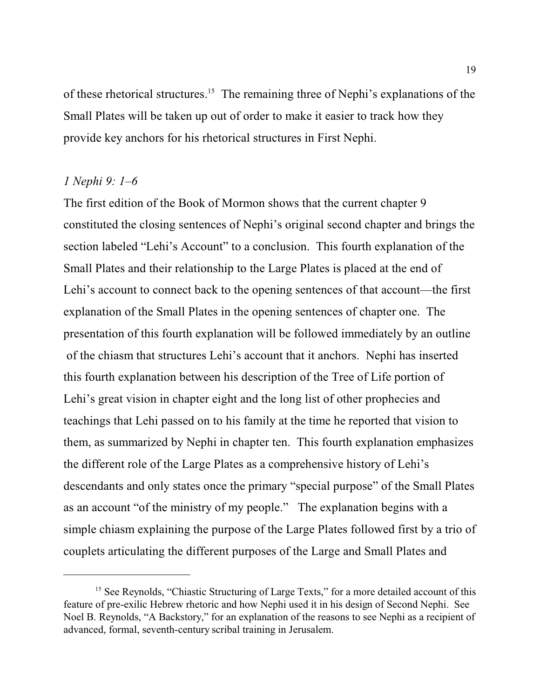of these rhetorical structures.<sup>15</sup> The remaining three of Nephi's explanations of the Small Plates will be taken up out of order to make it easier to track how they provide key anchors for his rhetorical structures in First Nephi.

# *1 Nephi 9: 1–6*

The first edition of the Book of Mormon shows that the current chapter 9 constituted the closing sentences of Nephi's original second chapter and brings the section labeled "Lehi's Account" to a conclusion. This fourth explanation of the Small Plates and their relationship to the Large Plates is placed at the end of Lehi's account to connect back to the opening sentences of that account—the first explanation of the Small Plates in the opening sentences of chapter one. The presentation of this fourth explanation will be followed immediately by an outline of the chiasm that structures Lehi's account that it anchors. Nephi has inserted this fourth explanation between his description of the Tree of Life portion of Lehi's great vision in chapter eight and the long list of other prophecies and teachings that Lehi passed on to his family at the time he reported that vision to them, as summarized by Nephi in chapter ten. This fourth explanation emphasizes the different role of the Large Plates as a comprehensive history of Lehi's descendants and only states once the primary "special purpose" of the Small Plates as an account "of the ministry of my people." The explanation begins with a simple chiasm explaining the purpose of the Large Plates followed first by a trio of couplets articulating the different purposes of the Large and Small Plates and

<sup>&</sup>lt;sup>15</sup> See Reynolds, "Chiastic Structuring of Large Texts," for a more detailed account of this feature of pre-exilic Hebrew rhetoric and how Nephi used it in his design of Second Nephi. See Noel B. Reynolds, "A Backstory," for an explanation of the reasons to see Nephi as a recipient of advanced, formal, seventh-century scribal training in Jerusalem.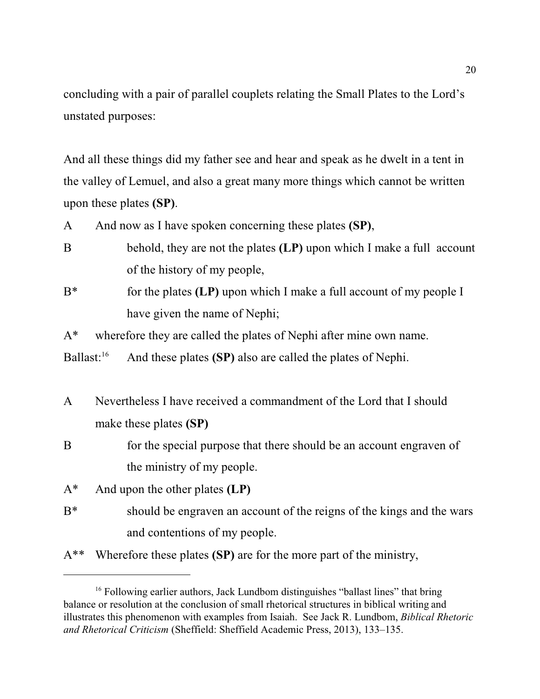concluding with a pair of parallel couplets relating the Small Plates to the Lord's unstated purposes:

And all these things did my father see and hear and speak as he dwelt in a tent in the valley of Lemuel, and also a great many more things which cannot be written upon these plates **(SP)**.

- A And now as I have spoken concerning these plates **(SP)**,
- B behold, they are not the plates **(LP)** upon which I make a full account of the history of my people,
- B\* for the plates **(LP)** upon which I make a full account of my people I have given the name of Nephi;

A\* wherefore they are called the plates of Nephi after mine own name.

Ballast: $16$ And these plates **(SP)** also are called the plates of Nephi.

- A Nevertheless I have received a commandment of the Lord that I should make these plates **(SP)**
- B for the special purpose that there should be an account engraven of the ministry of my people.
- A\* And upon the other plates **(LP)**
- B<sup>\*</sup> should be engraven an account of the reigns of the kings and the wars and contentions of my people.
- A\*\* Wherefore these plates **(SP)** are for the more part of the ministry,

<sup>&</sup>lt;sup>16</sup> Following earlier authors, Jack Lundbom distinguishes "ballast lines" that bring balance or resolution at the conclusion of small rhetorical structures in biblical writing and illustrates this phenomenon with examples from Isaiah. See Jack R. Lundbom, *Biblical Rhetoric and Rhetorical Criticism* (Sheffield: Sheffield Academic Press, 2013), 133–135.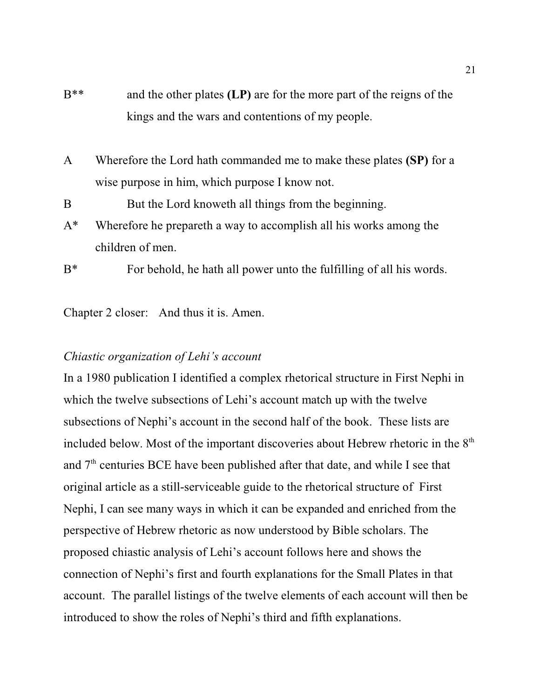- B\*\* and the other plates **(LP)** are for the more part of the reigns of the kings and the wars and contentions of my people.
- A Wherefore the Lord hath commanded me to make these plates **(SP)** for a wise purpose in him, which purpose I know not.

B But the Lord knoweth all things from the beginning.

- A\* Wherefore he prepareth a way to accomplish all his works among the children of men.
- B\* For behold, he hath all power unto the fulfilling of all his words.

Chapter 2 closer: And thus it is. Amen.

# *Chiastic organization of Lehi's account*

In a 1980 publication I identified a complex rhetorical structure in First Nephi in which the twelve subsections of Lehi's account match up with the twelve subsections of Nephi's account in the second half of the book. These lists are included below. Most of the important discoveries about Hebrew rhetoric in the  $8<sup>th</sup>$ and  $7<sup>th</sup>$  centuries BCE have been published after that date, and while I see that original article as a still-serviceable guide to the rhetorical structure of First Nephi, I can see many ways in which it can be expanded and enriched from the perspective of Hebrew rhetoric as now understood by Bible scholars. The proposed chiastic analysis of Lehi's account follows here and shows the connection of Nephi's first and fourth explanations for the Small Plates in that account. The parallel listings of the twelve elements of each account will then be introduced to show the roles of Nephi's third and fifth explanations.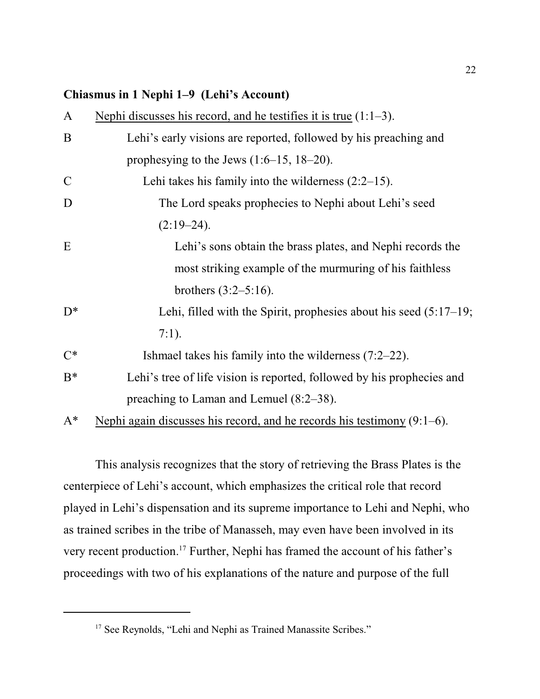### **Chiasmus in 1 Nephi 1–9 (Lehi's Account)**

| $\mathbf{A}$ | Nephi discusses his record, and he testifies it is true $(1:1-3)$ .        |
|--------------|----------------------------------------------------------------------------|
| B            | Lehi's early visions are reported, followed by his preaching and           |
|              | prophesying to the Jews $(1:6-15, 18-20)$ .                                |
| $\mathbf C$  | Lehi takes his family into the wilderness $(2:2-15)$ .                     |
| D            | The Lord speaks prophecies to Nephi about Lehi's seed                      |
|              | $(2:19-24).$                                                               |
| E            | Lehi's sons obtain the brass plates, and Nephi records the                 |
|              | most striking example of the murmuring of his faithless                    |
|              | brothers $(3:2-5:16)$ .                                                    |
| $D^*$        | Lehi, filled with the Spirit, prophesies about his seed $(5:17-19;$        |
|              | $7:1$ ).                                                                   |
| $C^*$        | Ishmael takes his family into the wilderness $(7:2-22)$ .                  |
| $B^*$        | Lehi's tree of life vision is reported, followed by his prophecies and     |
|              | preaching to Laman and Lemuel $(8:2-38)$ .                                 |
| $A^*$        | Nephi again discusses his record, and he records his testimony $(9:1-6)$ . |

This analysis recognizes that the story of retrieving the Brass Plates is the centerpiece of Lehi's account, which emphasizes the critical role that record played in Lehi's dispensation and its supreme importance to Lehi and Nephi, who as trained scribes in the tribe of Manasseh, may even have been involved in its very recent production. 17 Further, Nephi has framed the account of his father's proceedings with two of his explanations of the nature and purpose of the full

<sup>&</sup>lt;sup>17</sup> See Reynolds, "Lehi and Nephi as Trained Manassite Scribes."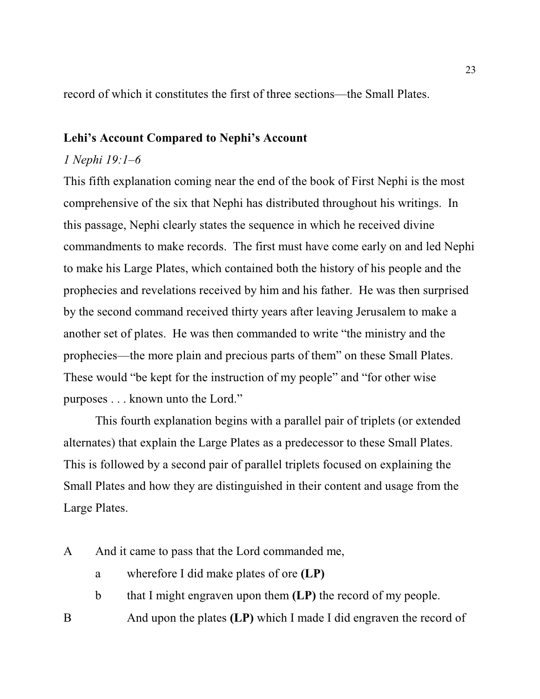record of which it constitutes the first of three sections—the Small Plates.

## **Lehi's Account Compared to Nephi's Account**

### *1 Nephi 19:1–6*

This fifth explanation coming near the end of the book of First Nephi is the most comprehensive of the six that Nephi has distributed throughout his writings. In this passage, Nephi clearly states the sequence in which he received divine commandments to make records. The first must have come early on and led Nephi to make his Large Plates, which contained both the history of his people and the prophecies and revelations received by him and his father. He was then surprised by the second command received thirty years after leaving Jerusalem to make a another set of plates. He was then commanded to write "the ministry and the prophecies—the more plain and precious parts of them" on these Small Plates. These would "be kept for the instruction of my people" and "for other wise purposes . . . known unto the Lord."

This fourth explanation begins with a parallel pair of triplets (or extended alternates) that explain the Large Plates as a predecessor to these Small Plates. This is followed by a second pair of parallel triplets focused on explaining the Small Plates and how they are distinguished in their content and usage from the Large Plates.

- A And it came to pass that the Lord commanded me,
	- a wherefore I did make plates of ore **(LP)**
	- b that I might engraven upon them **(LP)** the record of my people.
- B And upon the plates **(LP)** which I made I did engraven the record of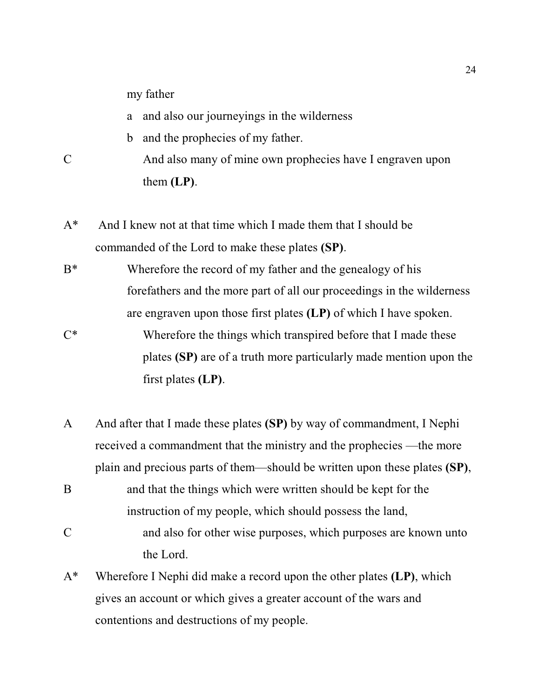my father

- a and also our journeyings in the wilderness
- b and the prophecies of my father.
- C And also many of mine own prophecies have I engraven upon them **(LP)**.
- A\* And I knew not at that time which I made them that I should be commanded of the Lord to make these plates **(SP)**.
- B<sup>\*</sup> Wherefore the record of my father and the genealogy of his forefathers and the more part of all our proceedings in the wilderness are engraven upon those first plates **(LP)** of which I have spoken.
- C\* Wherefore the things which transpired before that I made these plates **(SP)** are of a truth more particularly made mention upon the first plates **(LP)**.
- A And after that I made these plates **(SP)** by way of commandment, I Nephi received a commandment that the ministry and the prophecies —the more plain and precious parts of them—should be written upon these plates **(SP)**,
- B and that the things which were written should be kept for the instruction of my people, which should possess the land,
- C and also for other wise purposes, which purposes are known unto the Lord.
- A\* Wherefore I Nephi did make a record upon the other plates **(LP)**, which gives an account or which gives a greater account of the wars and contentions and destructions of my people.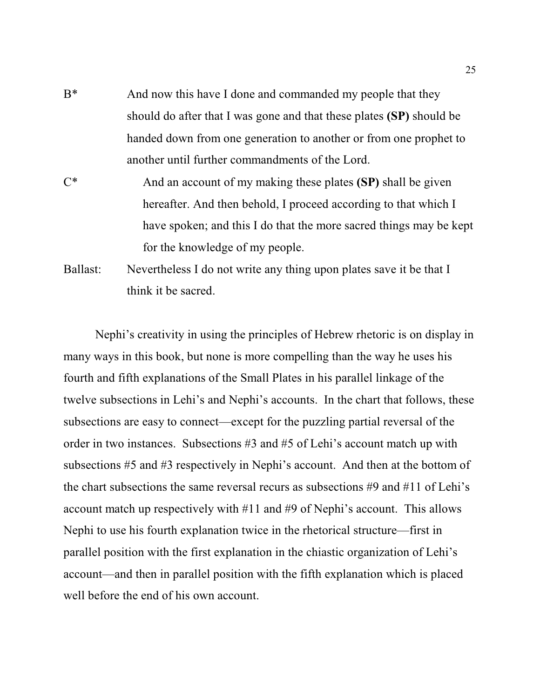- B<sup>\*</sup> And now this have I done and commanded my people that they should do after that I was gone and that these plates **(SP)** should be handed down from one generation to another or from one prophet to another until further commandments of the Lord.
- C\* And an account of my making these plates **(SP)** shall be given hereafter. And then behold, I proceed according to that which I have spoken; and this I do that the more sacred things may be kept for the knowledge of my people.
- Ballast: Nevertheless I do not write any thing upon plates save it be that I think it be sacred.

Nephi's creativity in using the principles of Hebrew rhetoric is on display in many ways in this book, but none is more compelling than the way he uses his fourth and fifth explanations of the Small Plates in his parallel linkage of the twelve subsections in Lehi's and Nephi's accounts. In the chart that follows, these subsections are easy to connect—except for the puzzling partial reversal of the order in two instances. Subsections #3 and #5 of Lehi's account match up with subsections #5 and #3 respectively in Nephi's account. And then at the bottom of the chart subsections the same reversal recurs as subsections #9 and #11 of Lehi's account match up respectively with #11 and #9 of Nephi's account. This allows Nephi to use his fourth explanation twice in the rhetorical structure—first in parallel position with the first explanation in the chiastic organization of Lehi's account—and then in parallel position with the fifth explanation which is placed well before the end of his own account.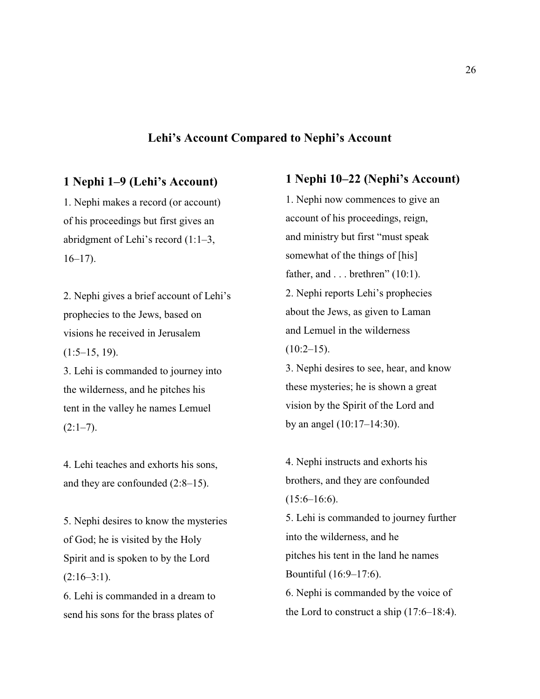#### **Lehi's Account Compared to Nephi's Account**

#### **1 Nephi 1–9 (Lehi's Account)**

1. Nephi makes a record (or account) of his proceedings but first gives an abridgment of Lehi's record (1:1–3,  $16-17$ ).

2. Nephi gives a brief account of Lehi's prophecies to the Jews, based on visions he received in Jerusalem  $(1:5–15, 19)$ .

3. Lehi is commanded to journey into the wilderness, and he pitches his tent in the valley he names Lemuel  $(2:1-7)$ .

4. Lehi teaches and exhorts his sons, and they are confounded (2:8–15).

5. Nephi desires to know the mysteries of God; he is visited by the Holy Spirit and is spoken to by the Lord  $(2:16-3:1)$ .

6. Lehi is commanded in a dream to send his sons for the brass plates of

#### **1 Nephi 10–22 (Nephi's Account)**

1. Nephi now commences to give an account of his proceedings, reign, and ministry but first "must speak somewhat of the things of [his] father, and  $\ldots$  brethren" (10:1). 2. Nephi reports Lehi's prophecies about the Jews, as given to Laman and Lemuel in the wilderness  $(10:2-15)$ .

3. Nephi desires to see, hear, and know these mysteries; he is shown a great vision by the Spirit of the Lord and by an angel (10:17–14:30).

4. Nephi instructs and exhorts his brothers, and they are confounded  $(15:6–16:6)$ .

5. Lehi is commanded to journey further into the wilderness, and he pitches his tent in the land he names Bountiful (16:9–17:6). 6. Nephi is commanded by the voice of the Lord to construct a ship (17:6–18:4).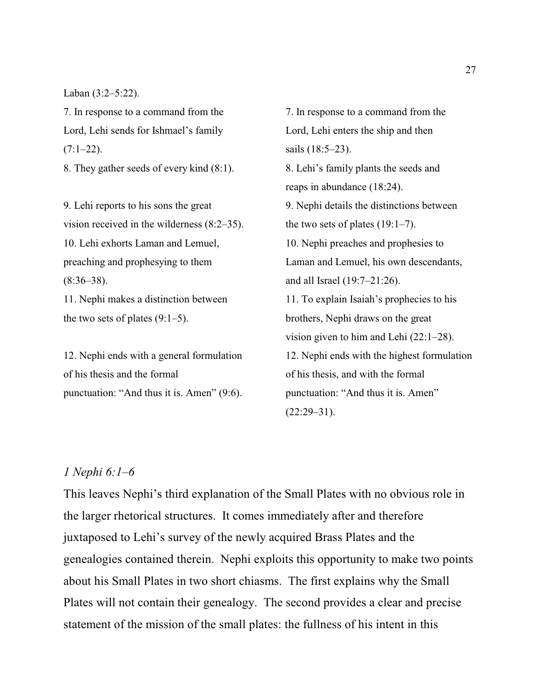Laban (3:2–5:22).

7. In response to a command from the Lord, Lehi sends for Ishmael's family  $(7:1-22)$ .

8. They gather seeds of every kind (8:1).

9. Lehi reports to his sons the great vision received in the wilderness (8:2–35). 10. Lehi exhorts Laman and Lemuel, preaching and prophesying to them  $(8:36-38)$ . 11. Nephi makes a distinction between

the two sets of plates  $(9:1-5)$ .

12. Nephi ends with a general formulation of his thesis and the formal punctuation: "And thus it is. Amen" (9:6).

7. In response to a command from the Lord, Lehi enters the ship and then sails (18:5–23). 8. Lehi's family plants the seeds and reaps in abundance (18:24). 9. Nephi details the distinctions between the two sets of plates (19:1–7). 10. Nephi preaches and prophesies to Laman and Lemuel, his own descendants, and all Israel (19:7–21:26). 11. To explain Isaiah's prophecies to his brothers, Nephi draws on the great vision given to him and Lehi (22:1–28). 12. Nephi ends with the highest formulation of his thesis, and with the formal punctuation: "And thus it is. Amen"  $(22:29-31)$ .

### *1 Nephi 6:1–6*

This leaves Nephi's third explanation of the Small Plates with no obvious role in the larger rhetorical structures. It comes immediately after and therefore juxtaposed to Lehi's survey of the newly acquired Brass Plates and the genealogies contained therein. Nephi exploits this opportunity to make two points about his Small Plates in two short chiasms. The first explains why the Small Plates will not contain their genealogy. The second provides a clear and precise statement of the mission of the small plates: the fullness of his intent in this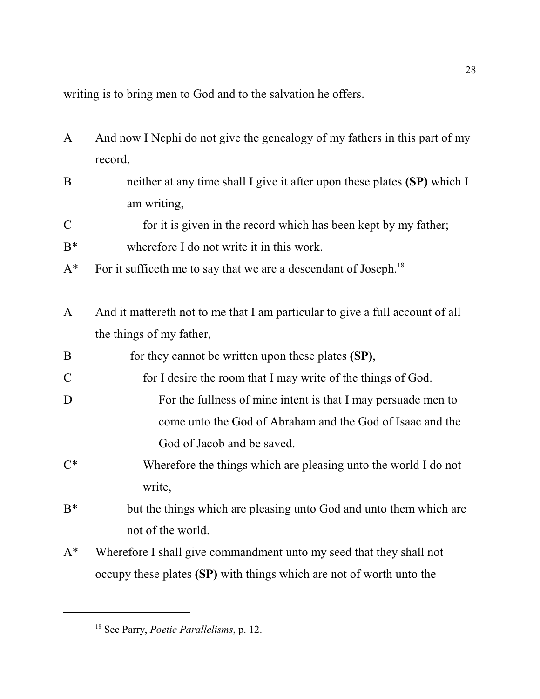writing is to bring men to God and to the salvation he offers.

- A And now I Nephi do not give the genealogy of my fathers in this part of my record,
- B neither at any time shall I give it after upon these plates **(SP)** which I am writing,
- C for it is given in the record which has been kept by my father;
- B\* wherefore I do not write it in this work.
- $A^*$  For it sufficeth me to say that we are a descendant of Joseph.<sup>18</sup>
- A And it mattereth not to me that I am particular to give a full account of all the things of my father,
- B for they cannot be written upon these plates **(SP)**,
- C for I desire the room that I may write of the things of God.
- D For the fullness of mine intent is that I may persuade men to come unto the God of Abraham and the God of Isaac and the God of Jacob and be saved.
- C\* Wherefore the things which are pleasing unto the world I do not write,
- B<sup>\*</sup> but the things which are pleasing unto God and unto them which are not of the world.
- A\* Wherefore I shall give commandment unto my seed that they shall not occupy these plates **(SP)** with things which are not of worth unto the

<sup>18</sup> See Parry, *Poetic Parallelisms*, p. 12.